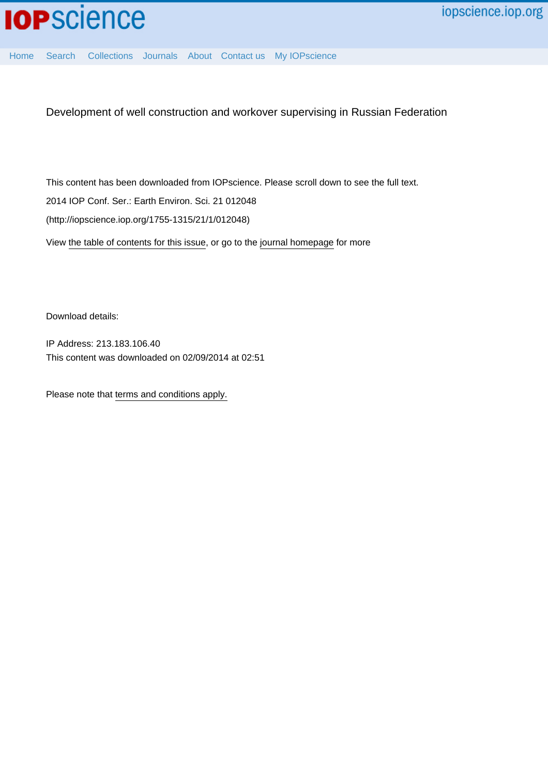

[Home](http://iopscience.iop.org/) [Search](http://iopscience.iop.org/search) [Collections](http://iopscience.iop.org/collections) [Journals](http://iopscience.iop.org/journals) [About](http://iopscience.iop.org/page/aboutioppublishing) [Contact us](http://iopscience.iop.org/contact) [My IOPscience](http://iopscience.iop.org/myiopscience)

Development of well construction and workover supervising in Russian Federation

This content has been downloaded from IOPscience. Please scroll down to see the full text. View [the table of contents for this issue](http://iopscience.iop.org/1755-1315/21/1), or go to the [journal homepage](http://iopscience.iop.org/1755-1315) for more 2014 IOP Conf. Ser.: Earth Environ. Sci. 21 012048 (http://iopscience.iop.org/1755-1315/21/1/012048)

Download details:

IP Address: 213.183.106.40 This content was downloaded on 02/09/2014 at 02:51

Please note that [terms and conditions apply.](iopscience.iop.org/page/terms)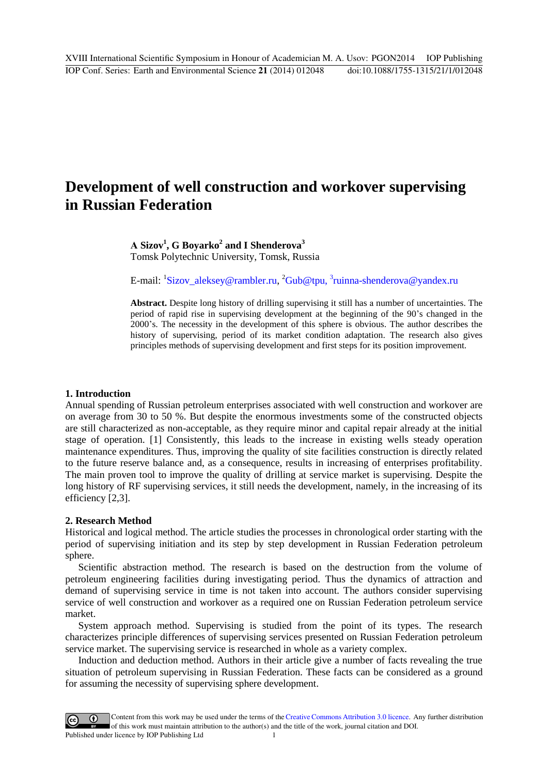# **Development of well construction and workover supervising in Russian Federation**

**А Sizov<sup>1</sup> , G Boyarko<sup>2</sup> and I Shenderova<sup>3</sup>** Tomsk Polytechnic University, Tomsk, Russia

E-mail: <sup>1</sup>[Sizov\\_aleksey@rambler.ru,](mailto:Sizov_aleksey@rambler.ru) <sup>2</sup>[Gub@tpu,](mailto:Gub@tpu,%203ru) <sup>3</sup>r[uinna-shenderova@yandex.ru](mailto:Gub@tpu,%203ru)

**Abstract.** Despite long history of drilling supervising it still has a number of uncertainties. The period of rapid rise in supervising development at the beginning of the 90's changed in the 2000's. The necessity in the development of this sphere is obvious. The author describes the history of supervising, period of its market condition adaptation. The research also gives principles methods of supervising development and first steps for its position improvement.

# **1. Introduction**

Annual spending of Russian petroleum enterprises associated with well construction and workover are on average from 30 to 50 %. But despite the enormous investments some of the constructed objects are still characterized as non-acceptable, as they require minor and capital repair already at the initial stage of operation. [1] Consistently, this leads to the increase in existing wells steady operation maintenance expenditures. Thus, improving the quality of site facilities construction is directly related to the future reserve balance and, as a consequence, results in increasing of enterprises profitability. The main proven tool to improve the quality of drilling at service market is supervising. Despite the long history of RF supervising services, it still needs the development, namely, in the increasing of its efficiency [2,3].

# **2. Research Method**

Historical and logical method. The article studies the processes in chronological order starting with the period of supervising initiation and its step by step development in Russian Federation petroleum sphere.

Scientific abstraction method. The research is based on the destruction from the volume of petroleum engineering facilities during investigating period. Thus the dynamics of attraction and demand of supervising service in time is not taken into account. The authors consider supervising service of well construction and workover as a required one on Russian Federation petroleum service market.

System approach method. Supervising is studied from the point of its types. The research characterizes principle differences of supervising services presented on Russian Federation petroleum service market. The supervising service is researched in whole as a variety complex.

Induction and deduction method. Authors in their article give a number of facts revealing the true situation of petroleum supervising in Russian Federation. These facts can be considered as a ground for assuming the necessity of supervising sphere development.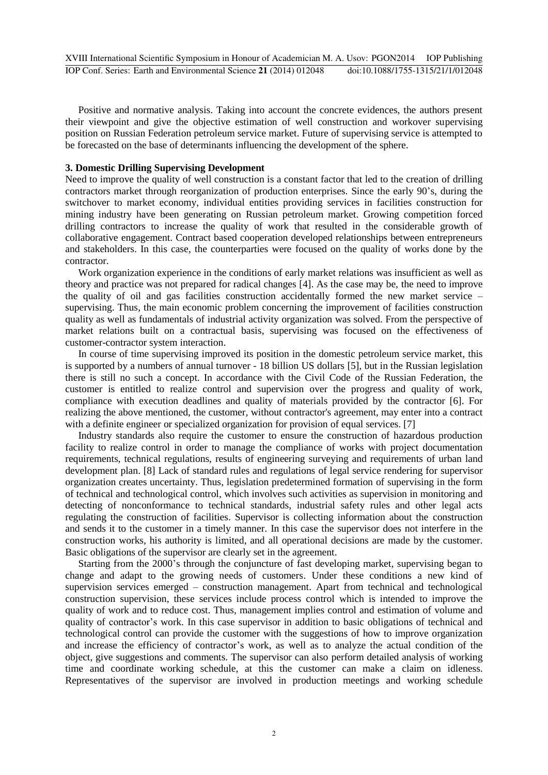Positive and normative analysis. Taking into account the concrete evidences, the authors present their viewpoint and give the objective estimation of well construction and workover supervising position on Russian Federation petroleum service market. Future of supervising service is attempted to be forecasted on the base of determinants influencing the development of the sphere.

# **3. Domestic Drilling Supervising Development**

Need to improve the quality of well construction is a constant factor that led to the creation of drilling contractors market through reorganization of production enterprises. Since the early 90's, during the switchover to market economy, individual entities providing services in facilities construction for mining industry have been generating on Russian petroleum market. Growing competition forced drilling contractors to increase the quality of work that resulted in the considerable growth of collaborative engagement. Contract based cooperation developed relationships between entrepreneurs and stakeholders. In this case, the counterparties were focused on the quality of works done by the contractor.

Work organization experience in the conditions of early market relations was insufficient as well as theory and practice was not prepared for radical changes [4]. As the case may be, the need to improve the quality of oil and gas facilities construction accidentally formed the new market service – supervising. Thus, the main economic problem concerning the improvement of facilities construction quality as well as fundamentals of industrial activity organization was solved. From the perspective of market relations built on a contractual basis, supervising was focused on the effectiveness of customer-contractor system interaction.

In course of time supervising improved its position in the domestic petroleum service market, this is supported by a numbers of annual turnover - 18 billion US dollars [5], but in the Russian legislation there is still no such a concept. In accordance with the Civil Code of the Russian Federation, the customer is entitled to realize control and supervision over the progress and quality of work, compliance with execution deadlines and quality of materials provided by the contractor [6]. For realizing the above mentioned, the customer, without contractor's agreement, may enter into a contract with a definite engineer or specialized organization for provision of equal services. [7]

Industry standards also require the customer to ensure the construction of hazardous production facility to realize control in order to manage the compliance of works with project documentation requirements, technical regulations, results of engineering surveying and requirements of urban land development plan. [8] Lack of standard rules and regulations of legal service rendering for supervisor organization creates uncertainty. Thus, legislation predetermined formation of supervising in the form of technical and technological control, which involves such activities as supervision in monitoring and detecting of nonconformance to technical standards, industrial safety rules and other legal acts regulating the construction of facilities. Supervisor is collecting information about the construction and sends it to the customer in a timely manner. In this case the supervisor does not interfere in the construction works, his authority is limited, and all operational decisions are made by the customer. Basic obligations of the supervisor are clearly set in the agreement.

Starting from the 2000's through the conjuncture of fast developing market, supervising began to change and adapt to the growing needs of customers. Under these conditions a new kind of supervision services emerged – construction management. Apart from technical and technological construction supervision, these services include process control which is intended to improve the quality of work and to reduce cost. Thus, management implies control and estimation of volume and quality of contractor's work. In this case supervisor in addition to basic obligations of technical and technological control can provide the customer with the suggestions of how to improve organization and increase the efficiency of contractor's work, as well as to analyze the actual condition of the object, give suggestions and comments. The supervisor can also perform detailed analysis of working time and coordinate working schedule, at this the customer can make a claim on idleness. Representatives of the supervisor are involved in production meetings and working schedule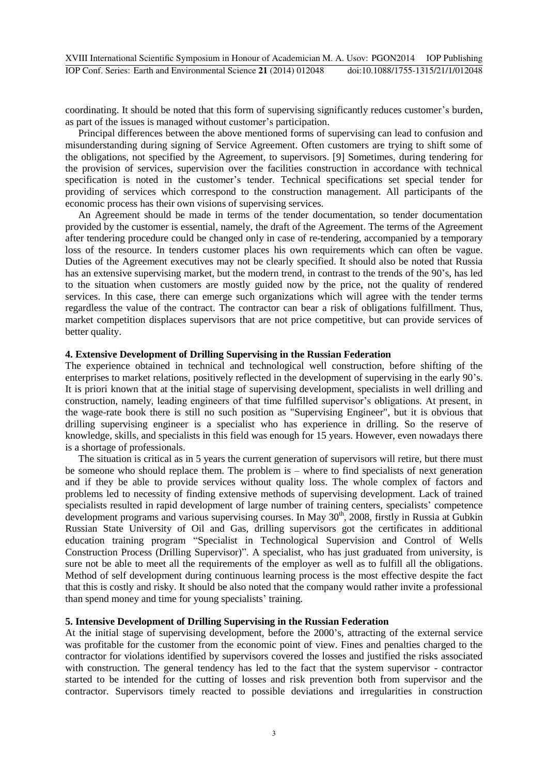coordinating. It should be noted that this form of supervising significantly reduces customer's burden, as part of the issues is managed without customer's participation.

Principal differences between the above mentioned forms of supervising can lead to confusion and misunderstanding during signing of Service Agreement. Often customers are trying to shift some of the obligations, not specified by the Agreement, to supervisors. [9] Sometimes, during tendering for the provision of services, supervision over the facilities construction in accordance with technical specification is noted in the customer's tender. Technical specifications set special tender for providing of services which correspond to the construction management. All participants of the economic process has their own visions of supervising services.

An Agreement should be made in terms of the tender documentation, so tender documentation provided by the customer is essential, namely, the draft of the Agreement. The terms of the Agreement after tendering procedure could be changed only in case of re-tendering, accompanied by a temporary loss of the resource. In tenders customer places his own requirements which can often be vague. Duties of the Agreement executives may not be clearly specified. It should also be noted that Russia has an extensive supervising market, but the modern trend, in contrast to the trends of the 90's, has led to the situation when customers are mostly guided now by the price, not the quality of rendered services. In this case, there can emerge such organizations which will agree with the tender terms regardless the value of the contract. The contractor can bear a risk of obligations fulfillment. Thus, market competition displaces supervisors that are not price competitive, but can provide services of better quality.

#### **4. Extensive Development of Drilling Supervising in the Russian Federation**

The experience obtained in technical and technological well construction, before shifting of the enterprises to market relations, positively reflected in the development of supervising in the early 90's. It is priori known that at the initial stage of supervising development, specialists in well drilling and construction, namely, leading engineers of that time fulfilled supervisor's obligations. At present, in the wage-rate book there is still no such position as "Supervising Engineer", but it is obvious that drilling supervising engineer is a specialist who has experience in drilling. So the reserve of knowledge, skills, and specialists in this field was enough for 15 years. However, even nowadays there is a shortage of professionals.

The situation is critical as in 5 years the current generation of supervisors will retire, but there must be someone who should replace them. The problem is – where to find specialists of next generation and if they be able to provide services without quality loss. The whole complex of factors and problems led to necessity of finding extensive methods of supervising development. Lack of trained specialists resulted in rapid development of large number of training centers, specialists' competence development programs and various supervising courses. In May 30<sup>th</sup>, 2008, firstly in Russia at Gubkin Russian State University of Oil and Gas, drilling supervisors got the certificates in additional education training program "Specialist in Technological Supervision and Control of Wells Construction Process (Drilling Supervisor)". A specialist, who has just graduated from university, is sure not be able to meet all the requirements of the employer as well as to fulfill all the obligations. Method of self development during continuous learning process is the most effective despite the fact that this is costly and risky. It should be also noted that the company would rather invite a professional than spend money and time for young specialists' training.

# **5. Intensive Development of Drilling Supervising in the Russian Federation**

At the initial stage of supervising development, before the 2000's, attracting of the external service was profitable for the customer from the economic point of view. Fines and penalties charged to the contractor for violations identified by supervisors covered the losses and justified the risks associated with construction. The general tendency has led to the fact that the system supervisor - contractor started to be intended for the cutting of losses and risk prevention both from supervisor and the contractor. Supervisors timely reacted to possible deviations and irregularities in construction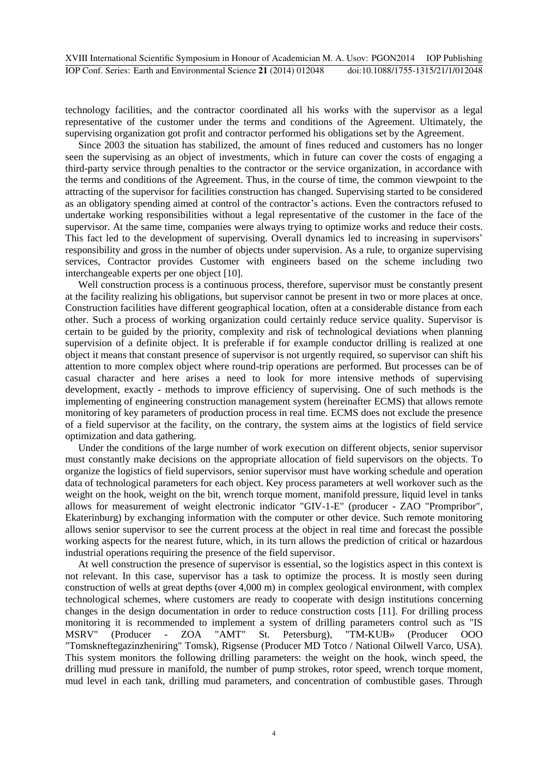technology facilities, and the contractor coordinated all his works with the supervisor as a legal representative of the customer under the terms and conditions of the Agreement. Ultimately, the supervising organization got profit and contractor performed his obligations set by the Agreement.

Since 2003 the situation has stabilized, the amount of fines reduced and customers has no longer seen the supervising as an object of investments, which in future can cover the costs of engaging a third-party service through penalties to the contractor or the service organization, in accordance with the terms and conditions of the Agreement. Thus, in the course of time, the common viewpoint to the attracting of the supervisor for facilities construction has changed. Supervising started to be considered as an obligatory spending aimed at control of the contractor's actions. Even the contractors refused to undertake working responsibilities without a legal representative of the customer in the face of the supervisor. At the same time, companies were always trying to optimize works and reduce their costs. This fact led to the development of supervising. Overall dynamics led to increasing in supervisors' responsibility and gross in the number of objects under supervision. As a rule, to organize supervising services, Contractor provides Customer with engineers based on the scheme including two interchangeable experts per one object [10].

Well construction process is a continuous process, therefore, supervisor must be constantly present at the facility realizing his obligations, but supervisor cannot be present in two or more places at once. Construction facilities have different geographical location, often at a considerable distance from each other. Such a process of working organization could certainly reduce service quality. Supervisor is certain to be guided by the priority, complexity and risk of technological deviations when planning supervision of a definite object. It is preferable if for example conductor drilling is realized at one object it means that constant presence of supervisor is not urgently required, so supervisor can shift his attention to more complex object where round-trip operations are performed. But processes can be of casual character and here arises a need to look for more intensive methods of supervising development, exactly - methods to improve efficiency of supervising. One of such methods is the implementing of engineering construction management system (hereinafter ECMS) that allows remote monitoring of key parameters of production process in real time. ECMS does not exclude the presence of a field supervisor at the facility, on the contrary, the system aims at the logistics of field service optimization and data gathering.

Under the conditions of the large number of work execution on different objects, senior supervisor must constantly make decisions on the appropriate allocation of field supervisors on the objects. To organize the logistics of field supervisors, senior supervisor must have working schedule and operation data of technological parameters for each object. Key process parameters at well workover such as the weight on the hook, weight on the bit, wrench torque moment, manifold pressure, liquid level in tanks allows for measurement of weight electronic indicator "GIV-1-E" (producer - ZAO "Prompribor", Ekaterinburg) by exchanging information with the computer or other device. Such remote monitoring allows senior supervisor to see the current process at the object in real time and forecast the possible working aspects for the nearest future, which, in its turn allows the prediction of critical or hazardous industrial operations requiring the presence of the field supervisor.

At well construction the presence of supervisor is essential, so the logistics aspect in this context is not relevant. In this case, supervisor has a task to optimize the process. It is mostly seen during construction of wells at great depths (over 4,000 m) in complex geological environment, with complex technological schemes, where customers are ready to cooperate with design institutions concerning changes in the design documentation in order to reduce construction costs [11]. For drilling process monitoring it is recommended to implement a system of drilling parameters control such as "IS MSRV" (Producer - ZOA "AMT" St. Petersburg), "TM-KUB» (Producer OOO "Tomskneftegazinzheniring" Tomsk), Rigsense (Producer MD Totco / National Oilwell Varco, USA). This system monitors the following drilling parameters: the weight on the hook, winch speed, the drilling mud pressure in manifold, the number of pump strokes, rotor speed, wrench torque moment, mud level in each tank, drilling mud parameters, and concentration of combustible gases. Through